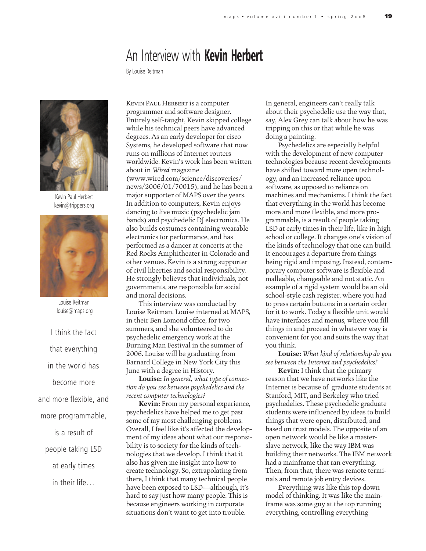## An Interview with **Kevin Herbert**

By Louise Reitman



Kevin Paul Herbert kevin@trippers.org



Louise Reitman louise@maps.org

I think the fact that everything in the world has become more and more flexible, and more programmable, is a result of people taking LSD at early times in their life…

Kevin Paul Herbert is a computer programmer and software designer. Entirely self-taught, Kevin skipped college while his technical peers have advanced degrees. As an early developer for cisco Systems, he developed software that now runs on millions of Internet routers worldwide. Kevin's work has been written about in *Wired* magazine (www.wired.com/science/discoveries/ news/2006/01/70015), and he has been a major supporter of MAPS over the years. In addition to computers, Kevin enjoys dancing to live music (psychedelic jam bands) and psychedelic DJ electronica. He also builds costumes containing wearable electronics for performance, and has performed as a dancer at concerts at the Red Rocks Amphitheater in Colorado and other venues. Kevin is a strong supporter of civil liberties and social responsibility. He strongly believes that individuals, not governments, are responsible for social and moral decisions.

This interview was conducted by Louise Reitman. Louise interned at MAPS, in their Ben Lomond office, for two summers, and she volunteered to do psychedelic emergency work at the Burning Man Festival in the summer of 2006. Louise will be graduating from Barnard College in New York City this June with a degree in History.

**Louise:** *In general, what type of connection do you see between psychedelics and the recent computer technologies?*

**Kevin:** From my personal experience, psychedelics have helped me to get past some of my most challenging problems. Overall, I feel like it's affected the development of my ideas about what our responsibility is to society for the kinds of technologies that we develop. I think that it also has given me insight into how to create technology. So, extrapolating from there, I think that many technical people have been exposed to LSD—although, it's hard to say just how many people. This is because engineers working in corporate situations don't want to get into trouble.

In general, engineers can't really talk about their psychedelic use the way that, say, Alex Grey can talk about how he was tripping on this or that while he was doing a painting.

Psychedelics are especially helpful with the development of new computer technologies because recent developments have shifted toward more open technology, and an increased reliance upon software, as opposed to reliance on machines and mechanisms. I think the fact that everything in the world has become more and more flexible, and more programmable, is a result of people taking LSD at early times in their life, like in high school or college. It changes one's vision of the kinds of technology that one can build. It encourages a departure from things being rigid and imposing. Instead, contemporary computer software is flexible and malleable, changeable and not static. An example of a rigid system would be an old school-style cash register, where you had to press certain buttons in a certain order for it to work. Today a flexible unit would have interfaces and menus, where you fill things in and proceed in whatever way is convenient for you and suits the way that you think.

**Louise:** *What kind of relationship do you see between the Internet and psychedelics?*

**Kevin:** I think that the primary reason that we have networks like the Internet is because of graduate students at Stanford, MIT, and Berkeley who tried psychedelics. These psychedelic graduate students were influenced by ideas to build things that were open, distributed, and based on trust models. The opposite of an open network would be like a masterslave network, like the way IBM was building their networks. The IBM network had a mainframe that ran everything. Then, from that, there was remote terminals and remote job entry devices.

Everything was like this top down model of thinking. It was like the mainframe was some guy at the top running everything, controlling everything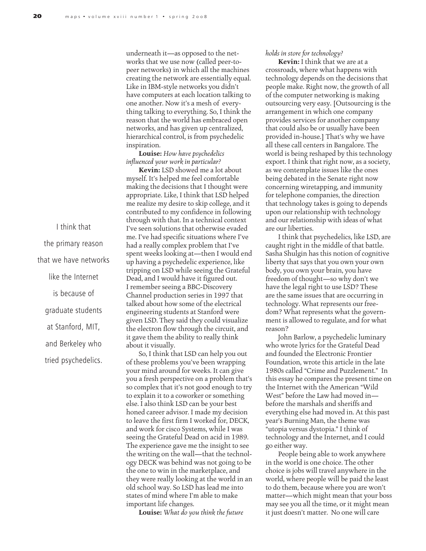underneath it—as opposed to the networks that we use now (called peer-topeer networks) in which all the machines creating the network are essentially equal. Like in IBM-style networks you didn't have computers at each location talking to one another. Now it's a mesh of everything talking to everything. So, I think the reason that the world has embraced open networks, and has given up centralized, hierarchical control, is from psychedelic inspiration.

**Louise:** *How have psychedelics influenced your work in particular?*

**Kevin:** LSD showed me a lot about myself. It's helped me feel comfortable making the decisions that I thought were appropriate. Like, I think that LSD helped me realize my desire to skip college, and it contributed to my confidence in following through with that. In a technical context I've seen solutions that otherwise evaded me. I've had specific situations where I've had a really complex problem that I've spent weeks looking at—then I would end up having a psychedelic experience, like tripping on LSD while seeing the Grateful Dead, and I would have it figured out. I remember seeing a BBC-Discovery Channel production series in 1997 that talked about how some of the electrical engineering students at Stanford were given LSD. They said they could visualize the electron flow through the circuit, and it gave them the ability to really think about it visually.

So, I think that LSD can help you out of these problems you've been wrapping your mind around for weeks. It can give you a fresh perspective on a problem that's so complex that it's not good enough to try to explain it to a coworker or something else. I also think LSD can be your best honed career advisor. I made my decision to leave the first firm I worked for, DECK, and work for cisco Systems, while I was seeing the Grateful Dead on acid in 1989. The experience gave me the insight to see the writing on the wall—that the technology DECK was behind was not going to be the one to win in the marketplace, and they were really looking at the world in an old school way. So LSD has lead me into states of mind where I'm able to make important life changes.

**Louise:** *What do you think the future*

## *holds in store for technology?*

**Kevin:** I think that we are at a crossroads, where what happens with technology depends on the decisions that people make. Right now, the growth of all of the computer networking is making outsourcing very easy. [Outsourcing is the arrangement in which one company provides services for another company that could also be or usually have been provided in-house.] That's why we have all these call centers in Bangalore. The world is being reshaped by this technology export. I think that right now, as a society, as we contemplate issues like the ones being debated in the Senate right now concerning wiretapping, and immunity for telephone companies, the direction that technology takes is going to depends upon our relationship with technology and our relationship with ideas of what are our liberties.

I think that psychedelics, like LSD, are caught right in the middle of that battle. Sasha Shulgin has this notion of cognitive liberty that says that you own your own body, you own your brain, you have freedom of thought—so why don't we have the legal right to use LSD? These are the same issues that are occurring in technology. What represents our freedom? What represents what the government is allowed to regulate, and for what reason?

John Barlow, a psychedelic luminary who wrote lyrics for the Grateful Dead and founded the Electronic Frontier Foundation, wrote this article in the late 1980s called "Crime and Puzzlement." In this essay he compares the present time on the Internet with the American "Wild West" before the Law had moved in before the marshals and sheriffs and everything else had moved in. At this past year's Burning Man, the theme was "utopia versus dystopia." I think of technology and the Internet, and I could go either way.

People being able to work anywhere in the world is one choice. The other choice is jobs will travel anywhere in the world, where people will be paid the least to do them, because where you are won't matter—which might mean that your boss may see you all the time, or it might mean it just doesn't matter. No one will care

I think that the primary reason that we have networks like the Internet is because of graduate students at Stanford, MIT, and Berkeley who tried psychedelics.